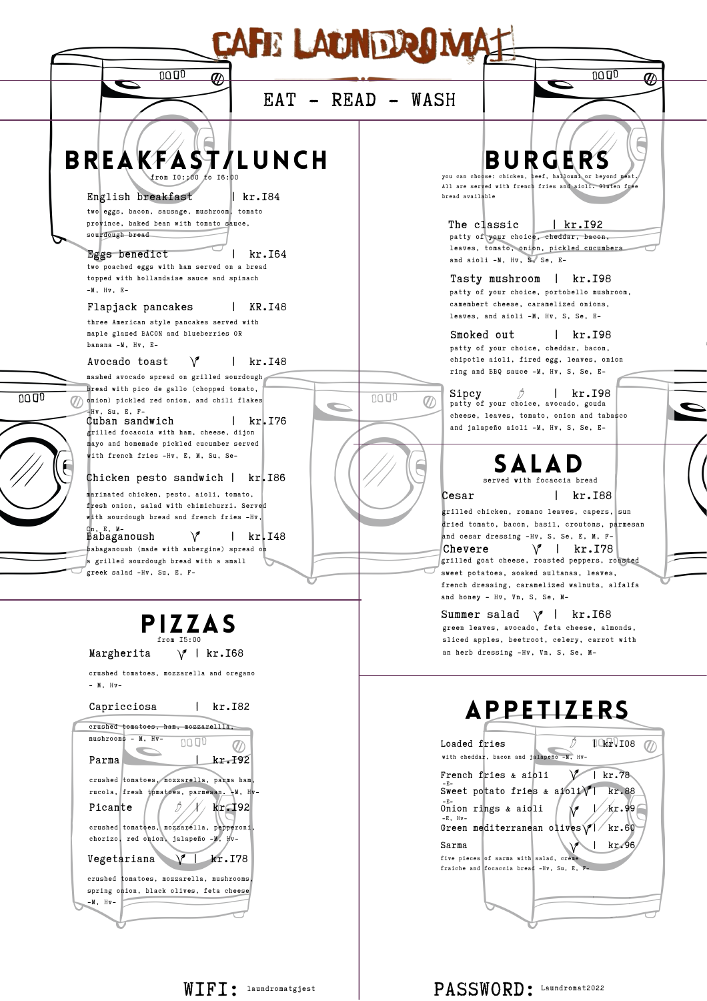| <b>CAFE LAUNDROMA</b>                                                                                                                                                                                                                                                                                                                                                                                                                                                                                                                                                                                                                                                                                 |                                                                                                                                                                                                                                                                                                                                                                                                                                                                                                                                                                                                                                                                  |
|-------------------------------------------------------------------------------------------------------------------------------------------------------------------------------------------------------------------------------------------------------------------------------------------------------------------------------------------------------------------------------------------------------------------------------------------------------------------------------------------------------------------------------------------------------------------------------------------------------------------------------------------------------------------------------------------------------|------------------------------------------------------------------------------------------------------------------------------------------------------------------------------------------------------------------------------------------------------------------------------------------------------------------------------------------------------------------------------------------------------------------------------------------------------------------------------------------------------------------------------------------------------------------------------------------------------------------------------------------------------------------|
| 1000<br>⊕                                                                                                                                                                                                                                                                                                                                                                                                                                                                                                                                                                                                                                                                                             | 0000<br>ଊ<br>EAT - READ - WASH                                                                                                                                                                                                                                                                                                                                                                                                                                                                                                                                                                                                                                   |
| BREAKFAST/LUNCH<br>from 10::00 to 16:00<br>English breakfast<br>kr.I84<br>two eggs, bacon, sausage, mushroom, tomato<br>province, baked bean with tomato sauce,<br>sourdough bread<br>kr.164<br>Eggs benedict<br>two poached eggs with ham served on a bread<br>topped with hollandaise sauce and spinach<br>$-M$ , $Hv$ , $E-$<br>KR.I48<br>Flapjack pancakes<br>three American style pancakes served with<br>maple glazed BACON and blueberries OR<br>banana -M, Hv, E-<br>$\vee$<br>Avocado toast<br>kr.I48                                                                                                                                                                                        | <b>BURGERS</b><br>you can choose: chicken, beef, hallouml or bevond mea<br>All are served with french fries and aioli. Gluten free<br>bread available<br>The classic<br>kr.I92<br>patty of your choice, cheddar, bacon,<br>leaves, tomato, onion, pickled cucumbers<br>and aioli -M, Hv, S, Se, E-<br>Tasty mushroom<br>kr.I98<br>patty of your choice, portobello mushroom,<br>camembert cheese, caramelized onions,<br>leaves, and aioli -M, Hv, S, Se, E-<br>Smoked out<br>kr.I98<br>patty of your choice, cheddar, bacon,<br>chipotle aioli, fired egg, leaves, onion                                                                                        |
| mashed avocado spread on grilled sourdough<br>bread with pico de gallo (chopped tomato,<br>0000<br>onion) pickled red onion, and chili flakes<br>Hv. Su. E. F-<br>kr. 176<br>Cuban sandwich<br>grilled focaccia with ham, cheese, dijon<br>mayo and homemade pickled cucumber served<br>with french fries -Hv, E, M, Su, Se-<br>Chicken pesto sandwich  <br>kr. 186<br>marinated chicken, pesto, aioli, tomato,<br>fresh onion, salad with chimichurri. Served<br>with sourdough bread and french fries -Hv,<br>dh. E. M-<br>$\vee$<br>$kr$ , 148<br>Babaganoush<br>abaganoush (made with aubergine) spread on<br>grilled sourdough bread with a small<br>greek salad -Hv, Su, E, F-<br><b>PIZZAS</b> | ring and BBQ sauce -M, Hv, S, Se, E-<br>l kr. 198<br>Sipcy<br>1000<br>patty of your choice, avocado, gouda<br>cheese, leaves, tomato, onion and tabasco<br>and jalapeño aioli -M, Hv, S, Se, E-<br><b>SALAD</b><br>served with focaccia bread<br>kr.I88<br>Cesar<br>grilled chicken, romano leaves, capers, sun<br>dried tomato, bacon, basil, croutons, parmesan<br>and cesar dressing -Hv, S, Se, E, M, F-<br>Chevere $\sqrt{}$   kr. 178<br>grilled goat cheese, roasted peppers, roasted<br>sweet potatoes, soaked sultanas, leaves,<br>french dressing, caramelized walnuts, alfalfa<br>and honey - Hv, Vn, S, Se, M-<br>Summer salad $\forall$  <br>kr.I68 |
| from 15:00<br>Margherita<br>$\vee$<br>  kr.I68<br>crushed tomatoes, mozzarella and oregano<br>$-$ M, $Hv-$<br>Capricciosa<br>kr.I82<br>crushed tomatoes, ham, mozzarellla,<br>mushrooms - M, Hv-<br>kr. 192<br>Parma<br>crushed tomatoes, mozzarella, parma ham,<br>rucola, fresh tpmatoes, parmesan. - M, Hv-<br>Picante<br>kr. 192<br>crushed tomatoes, mozzarella, pepperoni,<br>chorizo, red onion, jalapeño -M, Hv-<br>kr.I78<br>Vegetariana<br>crushed tomatoes, mozzarella, mushrooms<br>spring onion, black olives, feta cheese<br>-M, Hv-                                                                                                                                                    | green leaves, avocado, feta cheese, almonds,<br>sliced apples, beetroot, celery, carrot with<br>an herb dressing -Hv, Vn, S, Se, M-<br><b>APPETIZERS</b><br>$1065$ ,108<br>Loaded fries<br>with cheddar, bacon and jalapeño -M, Hv-<br>$ $ kr.78<br>French fries & aioli<br>Sweet potato fries & aioli $\sqrt{ }$<br>kr.88<br>Onion rings & aioli<br>/kr.99<br>$-E$ , $Hv-$<br>Green mediterranean olives $\sqrt{2}$ kr.60<br>Sarma<br>kr.96<br>five pieces of sarma with salad, creme<br>fraiche and focaccia bread -Hv, Su, E, F-                                                                                                                              |
| $\texttt{WIF1}:$ laundromatgjest                                                                                                                                                                                                                                                                                                                                                                                                                                                                                                                                                                                                                                                                      | PASSWORD: Laundromat2022                                                                                                                                                                                                                                                                                                                                                                                                                                                                                                                                                                                                                                         |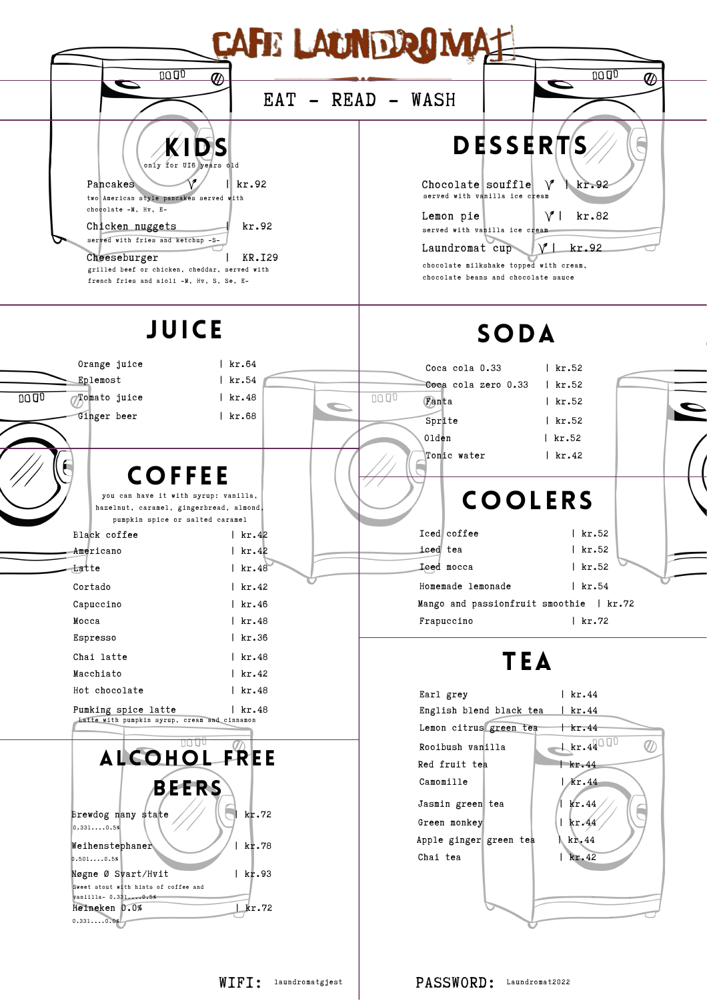

WIFI: laundromatgjest | PASSWORD: Laundromat2022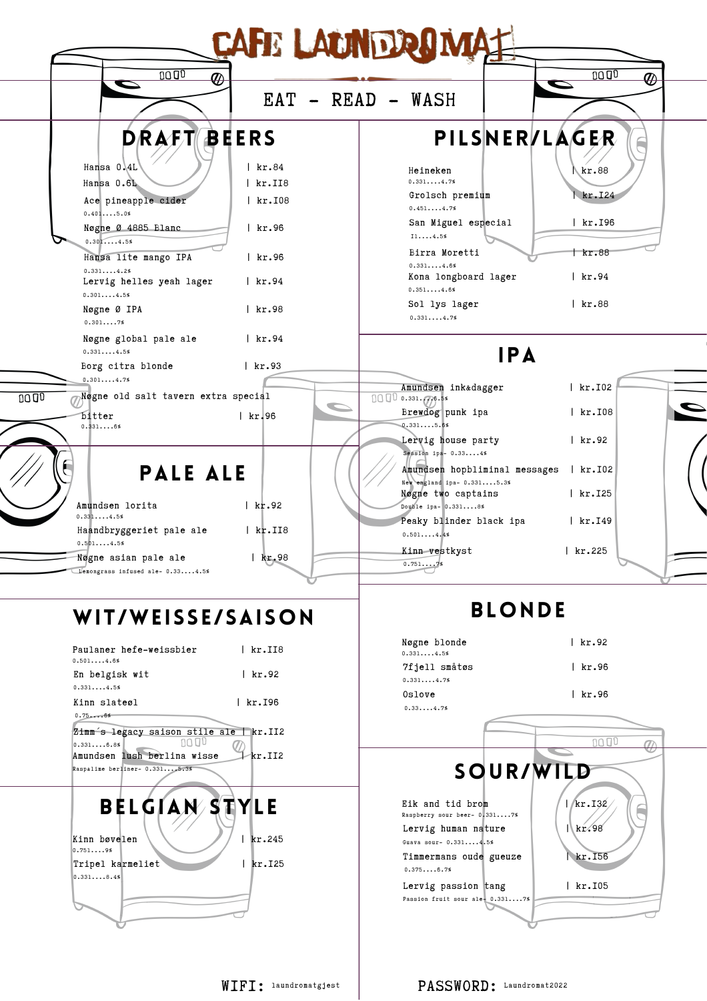| $\overline{\bm{\varpi}}$                                     |                      | EAT - READ - WASH                                | $\boldsymbol{\textcircled{r}}$<br>D |  |
|--------------------------------------------------------------|----------------------|--------------------------------------------------|-------------------------------------|--|
|                                                              | <b>DRAFT BEERS</b>   |                                                  | PILSNERVLAGER                       |  |
| Hansa 0,4L                                                   | $ $ kr.84            | Heineken                                         | kr.88                               |  |
| Hansa 0.6L                                                   | $ $ kr. II8          | 0.3314.7%                                        |                                     |  |
| Ace pineapple cider                                          | $ $ kr. $108$        | Grolsch premium<br>0.4514.7%                     | kr.I24                              |  |
| 0.4015.0%<br>Nøgne Ø 4885 Blanc<br>0.3014.5%                 | kr.96                | San Miguel especial<br>114.5%                    | $ $ kr. 196                         |  |
| Hansa lite mango IPA                                         | $ $ kr.96            | Birra Moretti<br>0.3314.6%                       | kr.88                               |  |
| 0.3314.2%<br>Lervig helles yeah lager<br>0.3014.5%           | $ $ kr.94            | Kona longboard lager<br>0.3514.6%                | $ $ kr.94                           |  |
| Nøgne Ø IPA<br>0.3017%                                       | $ $ kr.98            | Sol lys lager<br>0.3314.7%                       | $ $ kr.88                           |  |
| Nøgne global pale ale<br>0.3314.5%                           | kr.94                | <b>IPA</b>                                       |                                     |  |
| Borg citra blonde                                            | kr.93                |                                                  |                                     |  |
| 0.3014.7%<br>Nøgne old salt tavern extra special             |                      | Amundsen inkadagger                              | $ $ kr. $102$                       |  |
| bitter                                                       | $ $ kr. 96           | 100000331.00058<br>Brewdog punk ipa              | $ $ kr. $108$                       |  |
| 0.3316%                                                      |                      | 0.3315.6%                                        |                                     |  |
|                                                              |                      | Lervig house party<br>Session ipa- 0.334%        | kr.92                               |  |
| <b>PALE ALE</b>                                              |                      | Amundsen hopbliminal messages   kr.IO2           |                                     |  |
|                                                              |                      | New england ipa- 0.3315.3%<br>Nøgne two captains | $ $ kr. $125$                       |  |
| Amundsen lorita                                              | $ $ kr.92            | Double ipa- 0.3318%                              |                                     |  |
| 0.3314.5%<br>Haandbryggeriet pale ale                        | $ $ kr. II8          | Peaky blinder black ipa                          | kr.I49                              |  |
| 0.5014.5%                                                    |                      | 0.5014.4%<br>Kinn vestkyst                       | $\sqrt{\text{kr.225}}$              |  |
| Nøgne asian pale ale<br>Lemongrass infused ale- 0.334.5%     | kr.98                | 0.7517%                                          |                                     |  |
|                                                              |                      |                                                  |                                     |  |
| WIT/WEISSE/SAISON                                            |                      | <b>BLONDE</b>                                    |                                     |  |
|                                                              |                      | Nøgne blonde                                     | kr.92                               |  |
| Paulaner hefe-weissbier<br>0.5014.6%                         | $ $ kr. II8          | 0.3314.5%<br>7fjell småtøs                       | $ $ kr.96                           |  |
| En belgisk wit                                               | $ $ kr.92            | 0.3314.7%                                        |                                     |  |
| 0.3314.5%<br>Kinn slateøl                                    | kr. 196              | Oslove                                           | $ $ kr.96                           |  |
| 0.756%                                                       |                      | 0.3314.7%                                        |                                     |  |
| Zimm's legacy saison stile ale   kr.II2<br>1000<br>0.3316.8% |                      |                                                  | 1000<br>$\tau$                      |  |
| Amundsen lush berlina wisse                                  | $ \mathcal{A}$ r.II2 |                                                  |                                     |  |
| Raspalime berliner- 0.3315.3%                                |                      | <b>SOUR/WILD</b>                                 |                                     |  |
|                                                              |                      |                                                  |                                     |  |
| <b>BELGIAN STYLE</b>                                         |                      | Eik and tid brom<br>Raspberry sour beer- 0.3317% | 1/kr.132                            |  |
| Kinn bøvelen                                                 | kr.245               | Lervig human nature                              | kr.98                               |  |
| 0.7519%                                                      |                      | Guava sour- 0.3314.5%<br>Timmermans oude gueuze  | kr.I56                              |  |
| Tripel karmeliet<br>0.3318.4%                                | kr. 125              | 0.3756.7%                                        |                                     |  |
|                                                              |                      | Lervig passion tang                              | kr.I05                              |  |
|                                                              |                      | Passion fruit sour ale- 0.3317%                  |                                     |  |